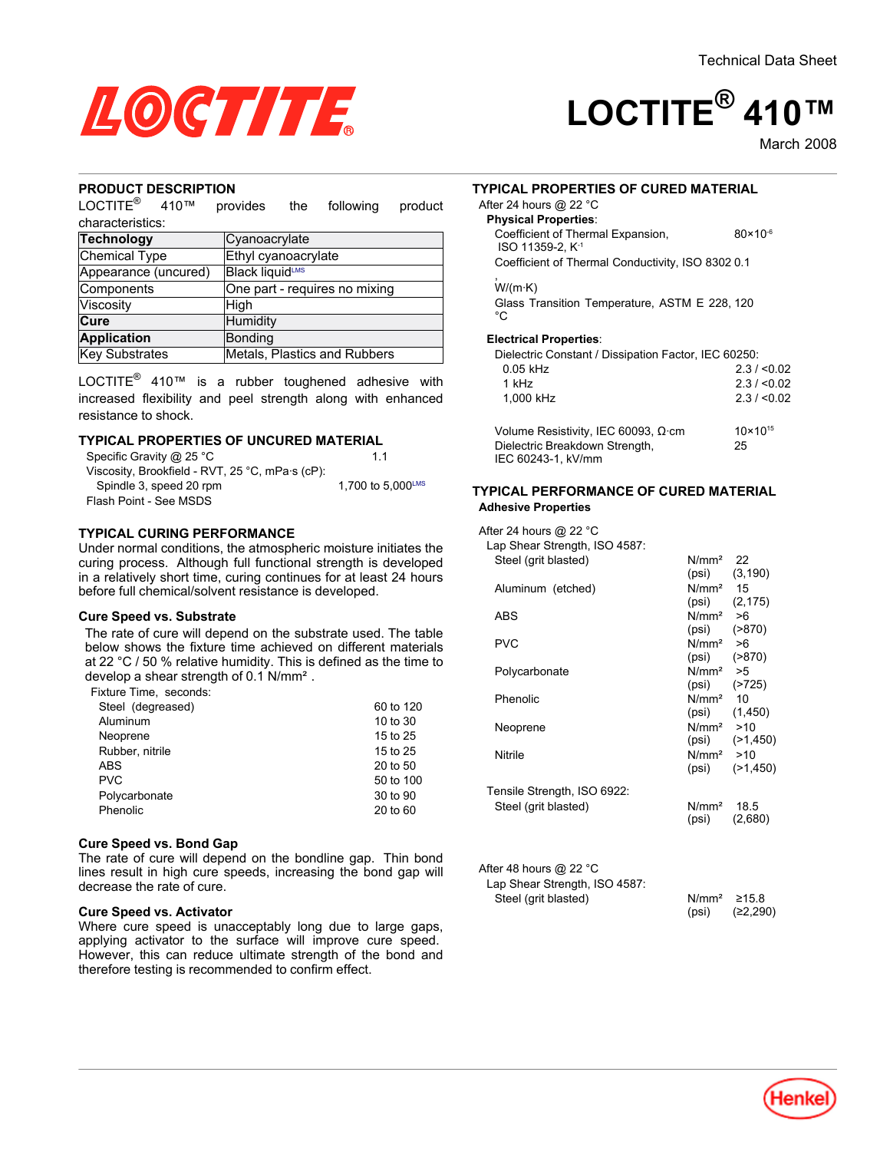

# **LOCTITE® 410™**

March-2008

#### **PRODUCT DESCRIPTION**

LOCTITE® 410™ provides the following product characteristics:

| <b>Technology</b>    | Cyanoacrylate                 |
|----------------------|-------------------------------|
| Chemical Type        | Ethyl cyanoacrylate           |
| Appearance (uncured) | Black liquidLMS               |
| Components           | One part - requires no mixing |
| Viscosity            | High                          |
| Cure                 | Humidity                      |
| <b>Application</b>   | Bonding                       |
| Key Substrates       | Metals, Plastics and Rubbers  |

LOCTITE $^{\circledR}$  410™ is a rubber toughened adhesive with increased flexibility and peel strength along with enhanced resistance to shock.

#### **TYPICAL PROPERTIES OF UNCURED MATERIAL**

| Specific Gravity @ 25 °C                        | 11                |
|-------------------------------------------------|-------------------|
| Viscosity, Brookfield - RVT, 25 °C, mPa·s (cP): |                   |
| Spindle 3, speed 20 rpm                         | 1.700 to 5.000LMS |
| Flash Point - See MSDS                          |                   |

#### **TYPICAL CURING PERFORMANCE**

Under normal conditions, the atmospheric moisture initiates the curing process. Although full functional strength is developed in a relatively short time, curing continues for at least 24 hours before full chemical/solvent resistance is developed.

#### **Cure Speed vs. Substrate**

The rate of cure will depend on the substrate used. The table below shows the fixture time achieved on different materials at 22 °C / 50 % relative humidity. This is defined as the time to develop a shear strength of 0.1 N/mm².

Fixture Time, seconds:

| Aluminum<br>10 to 30        |  |
|-----------------------------|--|
| Neoprene<br>15 to 25        |  |
| Rubber, nitrile<br>15 to 25 |  |
| 20 to 50<br>ABS             |  |
| <b>PVC</b><br>50 to 100     |  |
| Polycarbonate<br>30 to 90   |  |
| Phenolic<br>20 to 60        |  |

#### **Cure Speed vs. Bond Gap**

The rate of cure will depend on the bondline gap. Thin bond lines result in high cure speeds, increasing the bond gap will decrease the rate of cure.

#### **Cure Speed vs. Activator**

Where cure speed is unacceptably long due to large gaps, applying activator to the surface will improve cure speed. However, this can reduce ultimate strength of the bond and therefore testing is recommended to confirm effect.

#### **TYPICAL PROPERTIES OF CURED MATERIAL**

#### After 24 hours @ 22 °C **Physical Properties**:

| Coefficient of Thermal Expansion,<br>$ISO$ 11359-2. $K-1$ | $80 \times 10^{-6}$ |
|-----------------------------------------------------------|---------------------|
| Coefficient of Thermal Conductivity, ISO 8302 0.1         |                     |
| W/(m·K)                                                   |                     |

Glass Transition Temperature, ASTM E 228, 120 °C.

#### **Electrical Properties**:

| Dielectric Constant / Dissipation Factor, IEC 60250: |            |
|------------------------------------------------------|------------|
| $0.05$ kHz                                           | 2.3 / 0.02 |
| 1 kHz                                                | 2.3 / 0.02 |
| 1.000 kHz                                            | 2.3 / 0.02 |
|                                                      |            |
|                                                      |            |

| Volume Resistivity, IEC 60093, Ω·cm | $10 \times 10^{15}$ |
|-------------------------------------|---------------------|
| Dielectric Breakdown Strength,      | 25                  |
| IEC 60243-1. kV/mm                  |                     |

#### **TYPICAL PERFORMANCE OF CURED MATERIAL Adhesive Properties**

After 24 hours @ 22 °C

| Lap Shear Strength, ISO 4587: |                        |                    |
|-------------------------------|------------------------|--------------------|
| Steel (grit blasted)          | $N/mm2$ 22             |                    |
|                               |                        | $(psi)$ $(3, 190)$ |
| Aluminum (etched)             | $N/mm2$ 15             |                    |
|                               |                        | $(psi)$ $(2, 175)$ |
| <b>ABS</b>                    | $N/mm^2 > 6$           |                    |
|                               | $(psi)$ $( >870)$      |                    |
| <b>PVC</b>                    | $N/mm^2 > 6$           |                    |
|                               | $(psi)$ $( >870)$      |                    |
| Polycarbonate                 | $N/mm^2$ >5            |                    |
|                               | $(psi)$ $( >725)$      |                    |
| Phenolic                      | N/mm <sup>2</sup> 10   |                    |
|                               |                        | (psi) (1,450)      |
| Neoprene                      | $N/mm^2$ >10           |                    |
|                               | $N/mm^2$ >10           | $(psi)$ $(>1,450)$ |
| Nitrile                       | (psi)                  | (21, 450)          |
|                               |                        |                    |
| Tensile Strength, ISO 6922:   |                        |                    |
| Steel (grit blasted)          | N/mm <sup>2</sup> 18.5 |                    |
|                               | (psi)                  | (2,680)            |
|                               |                        |                    |
|                               |                        |                    |
| After 48 hours @ 22 °C        |                        |                    |
| Lap Shear Strength, ISO 4587: |                        |                    |
| Steel (grit blasted)          | N/mm <sup>2</sup>      | ≥15.8              |
|                               | (psi)                  | (≥2,290)           |

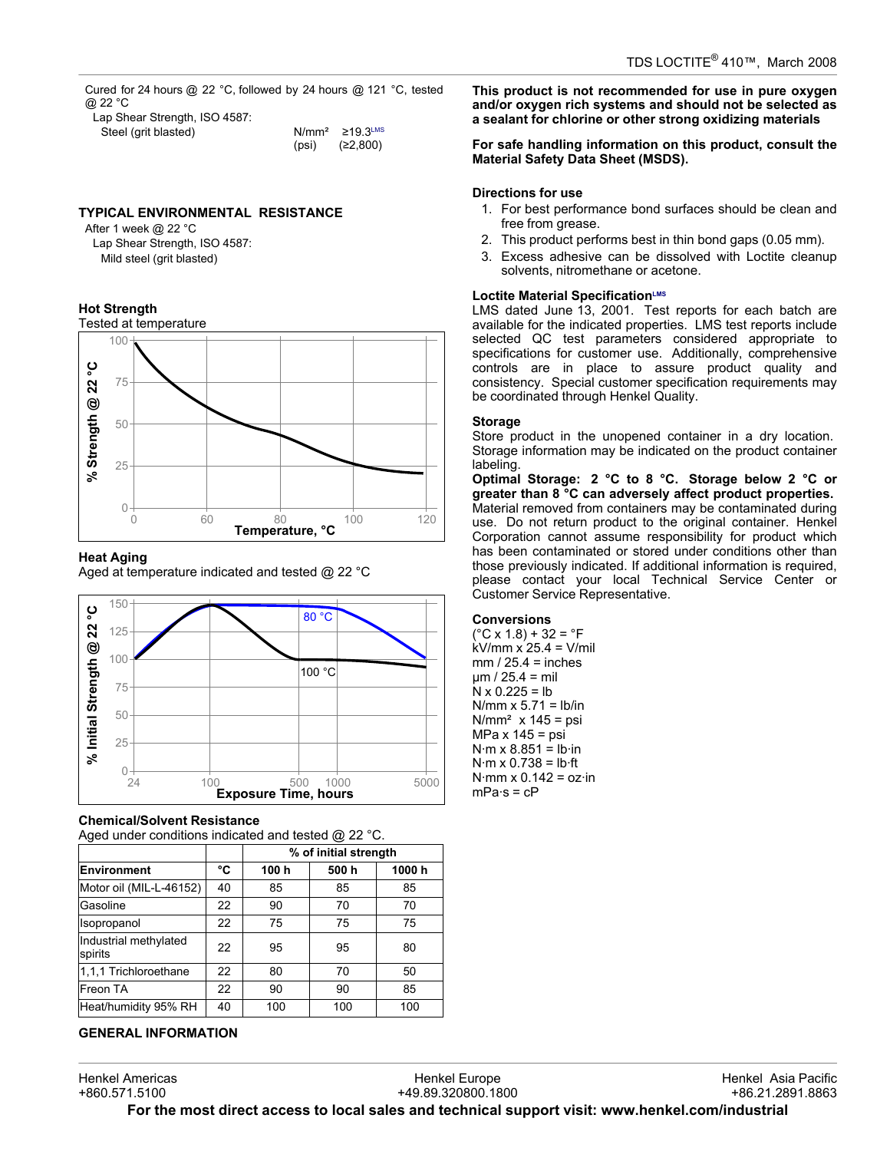Cured for 24 hours @ 22 °C, followed by 24 hours @ 121 °C, tested @ 22 °C

| Lap Shear Strength, ISO 4587: |       |                                  |
|-------------------------------|-------|----------------------------------|
| Steel (grit blasted)          |       | $N/mm^2 \ge 19.3$ <sup>LMS</sup> |
|                               | (psi) | (≥2,800)                         |

#### **TYPICAL ENVIRONMENTAL RESISTANCE**

After 1 week @ 22 °C Lap Shear Strength, ISO 4587: Mild steel (grit blasted)

#### **Hot Strength**



#### **Heat Aging**

Aged at temperature indicated and tested @ 22 °C



#### **Chemical/Solvent Resistance**

Aged under conditions indicated and tested @ 22 °C.

|                                  |    | % of initial strength |      |       |
|----------------------------------|----|-----------------------|------|-------|
| <b>Environment</b>               | °C | 100 h                 | 500h | 1000h |
| Motor oil (MIL-L-46152)          | 40 | 85                    | 85   | 85    |
| Gasoline                         | 22 | 90                    | 70   | 70    |
| Isopropanol                      | 22 | 75                    | 75   | 75    |
| Industrial methylated<br>spirits | 22 | 95                    | 95   | 80    |
| 1.1.1 Trichloroethane            | 22 | 80                    | 70   | 50    |
| Freon TA                         | 22 | 90                    | 90   | 85    |
| Heat/humidity 95% RH             | 40 | 100                   | 100  | 100   |

## **GENERAL INFORMATION**

**This product is not recommended for use in pure oxygen and/or oxygen rich systems and should not be selected as a sealant for chlorine or other strong oxidizing materials**

#### **For safe handling information on this product, consult the Material Safety Data Sheet (MSDS).**

#### **Directions for use**

- 1. For best performance bond surfaces should be clean and free from grease.
- 2. This product performs best in thin bond gaps (0.05 mm).
- 3. Excess adhesive can be dissolved with Loctite cleanup solvents, nitromethane or acetone.

#### **Loctite Material SpecificationLMS**

LMS dated June 13, 2001. Test reports for each batch are available for the indicated properties. LMS test reports include selected QC test parameters considered appropriate to specifications for customer use. Additionally, comprehensive controls are in place to assure product quality and consistency. Special customer specification requirements may be coordinated through Henkel Quality.

#### **Storage**

Store product in the unopened container in a dry location. Storage information may be indicated on the product container labeling.

**Optimal Storage: 2 °C to 8 °C. Storage below 2 °C or greater than 8 °C can adversely affect product properties.** Material removed from containers may be contaminated during use. Do not return product to the original container. Henkel Corporation cannot assume responsibility for product which has been contaminated or stored under conditions other than those previously indicated. If additional information is required, please contact your local Technical Service Center or Customer Service Representative.

#### **Conversions**

 $(^{\circ}C$  x 1.8) + 32 =  $^{\circ}F$ kV/mm x 25.4 = V/mil  $mm / 25.4 = inches$  $µm / 25.4 = mli$  $N \times 0.225 = lb$  $N/mm \times 5.71 = lb/in$  $N/mm<sup>2</sup>$  x 145 = psi MPa x 145 = psi  $N·m \times 8.851 = lb·in$  $N·m \times 0.738 = lb·ft$  $N·mm \times 0.142 = oz·in$  $mPa·s = cP$ 

Henkel Americas +860.571.5100 Henkel Europe +49.89.320800.1800 Henkel Asia Pacific +86.21.2891.8863 **For the most direct access to local sales and technical support visit: www.henkel.com/industrial**